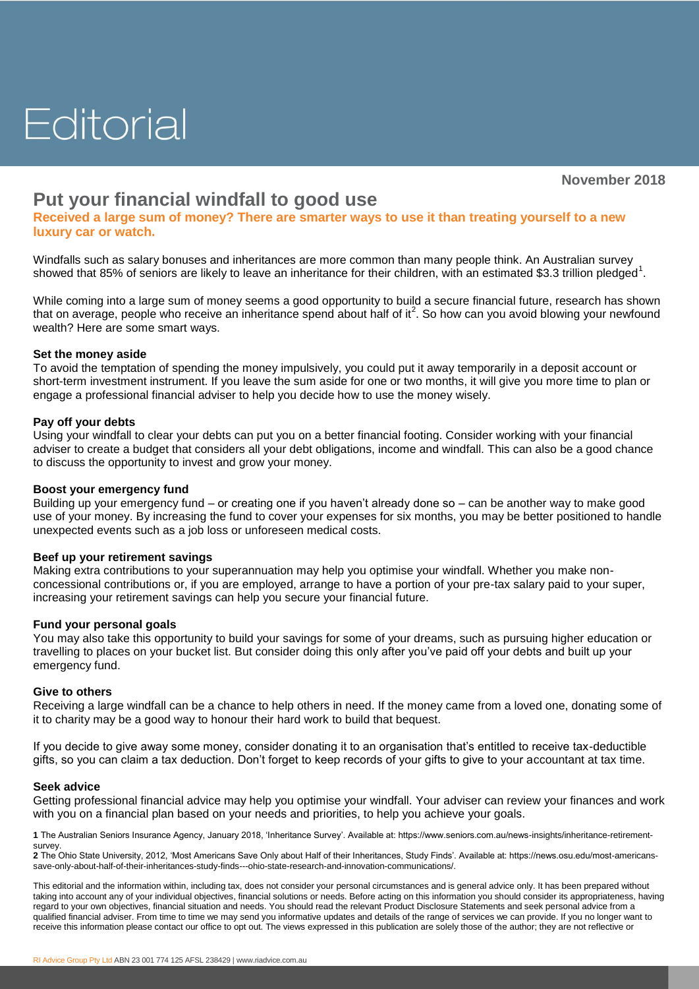# Editorial

**November 2018**

# **Put your financial windfall to good use**

**Received a large sum of money? There are smarter ways to use it than treating yourself to a new luxury car or watch.**

Windfalls such as salary bonuses and inheritances are more common than many people think. An Australian survey showed that 85% of seniors are likely to leave an inheritance for their children, with an estimated \$3.3 trillion pledged<sup>1</sup>.

While coming into a large sum of money seems a good opportunity to build a secure financial future, research has shown that on average, people who receive an inheritance spend about half of it<sup>2</sup>. So how can you avoid blowing your newfound wealth? Here are some smart ways.

## **Set the money aside**

To avoid the temptation of spending the money impulsively, you could put it away temporarily in a deposit account or short-term investment instrument. If you leave the sum aside for one or two months, it will give you more time to plan or engage a professional financial adviser to help you decide how to use the money wisely.

## **Pay off your debts**

Using your windfall to clear your debts can put you on a better financial footing. Consider working with your financial adviser to create a budget that considers all your debt obligations, income and windfall. This can also be a good chance to discuss the opportunity to invest and grow your money.

## **Boost your emergency fund**

Building up your emergency fund – or creating one if you haven't already done so – can be another way to make good use of your money. By increasing the fund to cover your expenses for six months, you may be better positioned to handle unexpected events such as a job loss or unforeseen medical costs.

# **Beef up your retirement savings**

Making extra contributions to your superannuation may help you optimise your windfall. Whether you make nonconcessional contributions or, if you are employed, arrange to have a portion of your pre-tax salary paid to your super, increasing your retirement savings can help you secure your financial future.

#### **Fund your personal goals**

You may also take this opportunity to build your savings for some of your dreams, such as pursuing higher education or travelling to places on your bucket list. But consider doing this only after you've paid off your debts and built up your emergency fund.

#### **Give to others**

Receiving a large windfall can be a chance to help others in need. If the money came from a loved one, donating some of it to charity may be a good way to honour their hard work to build that bequest.

If you decide to give away some money, consider donating it to an organisation that's entitled to receive tax-deductible gifts, so you can claim a tax deduction. Don't forget to keep records of your gifts to give to your accountant at tax time.

#### **Seek advice**

Getting professional financial advice may help you optimise your windfall. Your adviser can review your finances and work with you on a financial plan based on your needs and priorities, to help you achieve your goals.

**1** The Australian Seniors Insurance Agency, January 2018, 'Inheritance Survey'. Available at: https://www.seniors.com.au/news-insights/inheritance-retirementsurvey.

**2** The Ohio State University, 2012, 'Most Americans Save Only about Half of their Inheritances, Study Finds'. Available at: https://news.osu.edu/most-americanssave-only-about-half-of-their-inheritances-study-finds---ohio-state-research-and-innovation-communications/.

This editorial and the information within, including tax, does not consider your personal circumstances and is general advice only. It has been prepared without taking into account any of your individual objectives, financial solutions or needs. Before acting on this information you should consider its appropriateness, having regard to your own objectives, financial situation and needs. You should read the relevant Product Disclosure Statements and seek personal advice from a qualified financial adviser. From time to time we may send you informative updates and details of the range of services we can provide. If you no longer want to receive this information please contact our office to opt out. The views expressed in this publication are solely those of the author; they are not reflective or